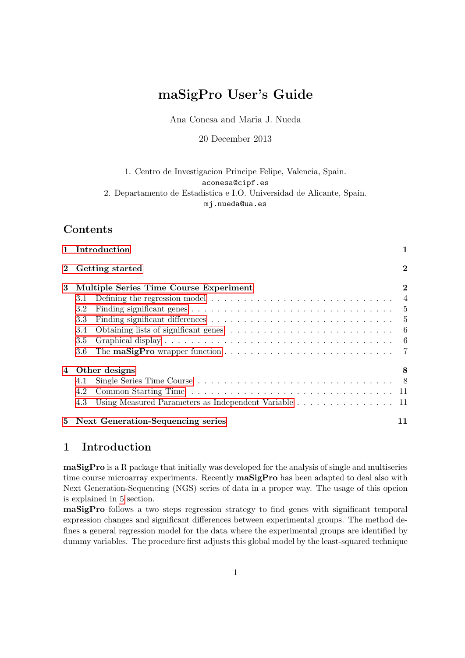# maSigPro User's Guide

Ana Conesa and Maria J. Nueda

20 December 2013

## 1. Centro de Investigacion Principe Felipe, Valencia, Spain. aconesa@cipf.es 2. Departamento de Estadistica e I.O. Universidad de Alicante, Spain. mj.nueda@ua.es

# Contents

|                                             |                   | 1 Introduction                                                                                 | 1  |  |  |  |  |  |  |  |  |
|---------------------------------------------|-------------------|------------------------------------------------------------------------------------------------|----|--|--|--|--|--|--|--|--|
|                                             | 2 Getting started |                                                                                                |    |  |  |  |  |  |  |  |  |
| 3<br>Multiple Series Time Course Experiment |                   |                                                                                                |    |  |  |  |  |  |  |  |  |
|                                             | 3.1               | Defining the regression model $\ldots \ldots \ldots \ldots \ldots \ldots \ldots \ldots \ldots$ |    |  |  |  |  |  |  |  |  |
|                                             | 3.2               |                                                                                                |    |  |  |  |  |  |  |  |  |
|                                             | 3.3               |                                                                                                |    |  |  |  |  |  |  |  |  |
|                                             | 3.4               |                                                                                                |    |  |  |  |  |  |  |  |  |
|                                             | 3.5               |                                                                                                |    |  |  |  |  |  |  |  |  |
|                                             | 3.6               |                                                                                                |    |  |  |  |  |  |  |  |  |
| 4                                           |                   | Other designs                                                                                  | 8  |  |  |  |  |  |  |  |  |
|                                             | 4.1               |                                                                                                |    |  |  |  |  |  |  |  |  |
|                                             | 4.2               |                                                                                                |    |  |  |  |  |  |  |  |  |
|                                             | 4.3               | Using Measured Parameters as Independent Variable 11                                           |    |  |  |  |  |  |  |  |  |
|                                             |                   | 5 Next Generation-Sequencing series                                                            | 11 |  |  |  |  |  |  |  |  |

# <span id="page-0-0"></span>1 Introduction

maSigPro is a R package that initially was developed for the analysis of single and multiseries time course microarray experiments. Recently **maSigPro** has been adapted to deal also with Next Generation-Sequencing (NGS) series of data in a proper way. The usage of this opcion is explained in [5](#page-10-2) section.

maSigPro follows a two steps regression strategy to find genes with significant temporal expression changes and significant differences between experimental groups. The method defines a general regression model for the data where the experimental groups are identified by dummy variables. The procedure first adjusts this global model by the least-squared technique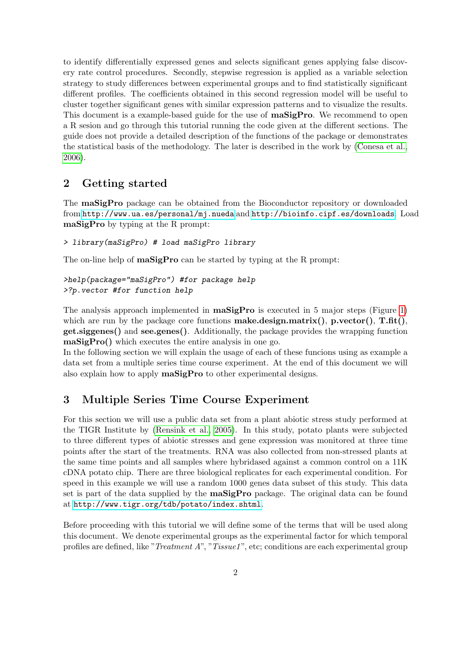to identify differentially expressed genes and selects significant genes applying false discovery rate control procedures. Secondly, stepwise regression is applied as a variable selection strategy to study differences between experimental groups and to find statistically significant different profiles. The coefficients obtained in this second regression model will be useful to cluster together significant genes with similar expression patterns and to visualize the results. This document is a example-based guide for the use of **maSigPro**. We recommend to open a R sesion and go through this tutorial running the code given at the different sections. The guide does not provide a detailed description of the functions of the package or demonstrates the statistical basis of the methodology. The later is described in the work by [\(Conesa et al.,](#page-13-0) [2006\)](#page-13-0).

# <span id="page-1-0"></span>2 Getting started

The maSigPro package can be obtained from the Bioconductor repository or downloaded from <http://www.ua.es/personal/mj.nueda> and <http://bioinfo.cipf.es/downloads>. Load maSigPro by typing at the R prompt:

```
> library(maSigPro) # load maSigPro library
```
The on-line help of **maSigPro** can be started by typing at the R prompt:

```
>help(package="maSigPro") #for package help
>?p.vector #for function help
```
The analysis approach implemented in  $\text{masigPro}$  is executed in 5 major steps (Figure [1\)](#page-2-0) which are run by the package core functions **make.design.matrix()**,  $\mathbf{p}.\text{vector}()$ ,  $\mathbf{T}.\text{fft}()$ , get.siggenes() and see.genes(). Additionally, the package provides the wrapping function maSigPro() which executes the entire analysis in one go.

In the following section we will explain the usage of each of these funcions using as example a data set from a multiple series time course experiment. At the end of this document we will also explain how to apply maSigPro to other experimental designs.

# <span id="page-1-1"></span>3 Multiple Series Time Course Experiment

For this section we will use a public data set from a plant abiotic stress study performed at the TIGR Institute by [\(Rensink et al., 2005\)](#page-13-1). In this study, potato plants were subjected to three different types of abiotic stresses and gene expression was monitored at three time points after the start of the treatments. RNA was also collected from non-stressed plants at the same time points and all samples where hybridased against a common control on a 11K cDNA potato chip. There are three biological replicates for each experimental condition. For speed in this example we will use a random 1000 genes data subset of this study. This data set is part of the data supplied by the maSigPro package. The original data can be found at <http://www.tigr.org/tdb/potato/index.shtml>.

Before proceeding with this tutorial we will define some of the terms that will be used along this document. We denote experimental groups as the experimental factor for which temporal profiles are defined, like "*Treatment A*", "*Tissue1*", etc; conditions are each experimental group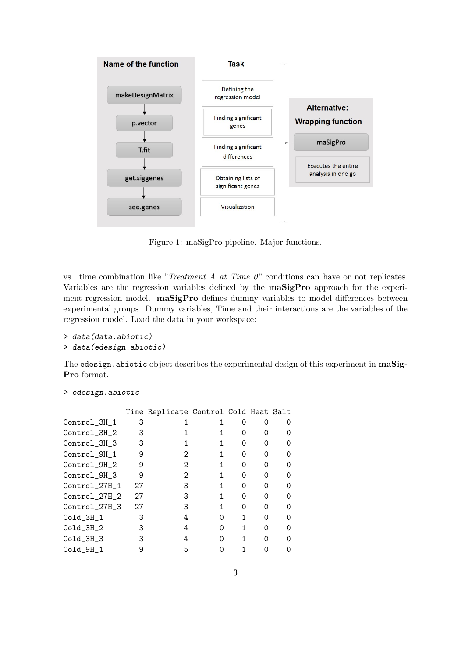

<span id="page-2-0"></span>Figure 1: maSigPro pipeline. Major functions.

vs. time combination like "Treatment A at Time  $0$ " conditions can have or not replicates. Variables are the regression variables defined by the maSigPro approach for the experiment regression model. maSigPro defines dummy variables to model differences between experimental groups. Dummy variables, Time and their interactions are the variables of the regression model. Load the data in your workspace:

```
> data(data.abiotic)
> data(edesign.abiotic)
```
The edesign.abiotic object describes the experimental design of this experiment in maSig-Pro format.

```
> edesign.abiotic
```

|               |    | Time Replicate Control Cold Heat Salt |   |               |               |                  |
|---------------|----|---------------------------------------|---|---------------|---------------|------------------|
| Control_3H_1  | З  |                                       |   |               |               | $\Omega$         |
| Control_3H_2  | 3  |                                       |   | $\mathcal{L}$ |               | $\mathcal{L}$    |
| Control_3H_3  | 3  |                                       |   | Ω             | Ω             | $\mathcal{L}$    |
| Control_9H_1  | 9  | 2                                     |   | Ω             | Ω             | $\mathcal{L}$    |
| Control_9H_2  | 9  | 2                                     |   | $\mathcal{L}$ | $\mathcal{L}$ | $\left( \right)$ |
| Control_9H_3  | 9  | 2                                     |   | $\mathcal{L}$ | $\mathcal{L}$ | $\mathcal{L}$    |
| Control_27H_1 | 27 | 3                                     |   | $\mathcal{L}$ | $\mathcal{L}$ | $\mathcal{L}$    |
| Control_27H_2 | 27 | З                                     |   | Ω             | $\mathcal{L}$ | $\left( \right)$ |
| Control_27H_3 | 27 | З                                     |   | $\mathcal{L}$ | $\mathcal{L}$ | $\mathcal{L}$    |
| $Co1d_3H_1$   | 3  | 4                                     | Ω |               | Ω             | $\mathcal{L}$    |
| $Co1d_3H_2$   | З  | 4                                     | Ω |               | Ω             | Ω                |
| $Co1d_3H_3$   | З  | 4                                     |   |               | 0             | $\mathcal{L}$    |
| $Co1d_9H_1$   |    | 5                                     |   |               |               |                  |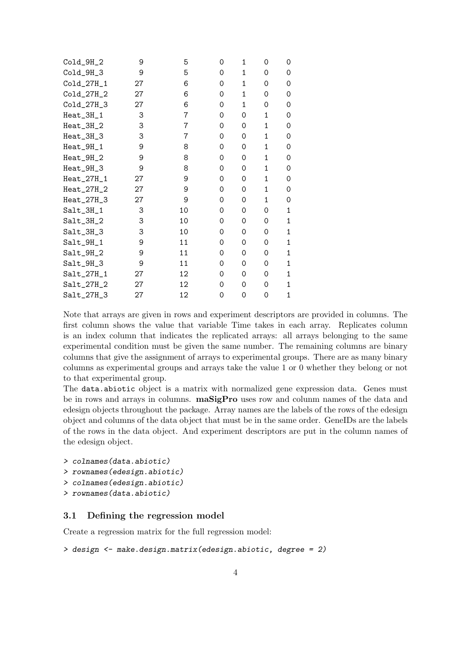| $Co1d_9H_2$  | 9  | 5  | 0 | 1 | 0            | 0            |
|--------------|----|----|---|---|--------------|--------------|
| $Cold_9H_3$  | 9  | 5  | 0 | 1 | 0            | 0            |
| $Co1d_27H_1$ | 27 | 6  | 0 | 1 | 0            | 0            |
| $Co1d_27H_2$ | 27 | 6  | 0 | 1 | 0            | 0            |
| Cold_27H_3   | 27 | 6  | 0 | 1 | 0            | 0            |
| $Heat_3H_1$  | 3  | 7  | 0 | 0 | $\mathbf{1}$ | 0            |
| Heat_3H_2    | 3  | 7  | 0 | 0 | 1            | 0            |
| Heat_3H_3    | 3  | 7  | 0 | 0 | $\mathbf{1}$ | 0            |
| Heat_9H_1    | 9  | 8  | 0 | 0 | 1            | 0            |
| Heat_9H_2    | 9  | 8  | 0 | 0 | 1            | 0            |
| Heat_9H_3    | 9  | 8  | 0 | 0 | $\mathbf{1}$ | 0            |
| $Heat_27H_1$ | 27 | 9  | 0 | 0 | $\mathbf{1}$ | 0            |
| $Heat_27H_2$ | 27 | 9  | 0 | 0 | $\mathbf{1}$ | 0            |
| $Heat_27H_3$ | 27 | 9  | 0 | 0 | $\mathbf{1}$ | 0            |
| $Salt_3H_1$  | 3  | 10 | 0 | 0 | 0            | $\mathbf{1}$ |
| $Salt_3H_2$  | 3  | 10 | 0 | 0 | 0            | 1            |
| $Salt_3H_3$  | 3  | 10 | 0 | 0 | 0            | 1            |
| $Salt_9H_1$  | 9  | 11 | 0 | 0 | 0            | 1            |
| $Salt_9H_2$  | 9  | 11 | 0 | 0 | 0            | 1            |
| Salt_9H_3    | 9  | 11 | 0 | 0 | 0            | 1            |
| $Salt_27H_1$ | 27 | 12 | 0 | 0 | 0            | 1            |
| $Sat_27H_2$  | 27 | 12 | 0 | 0 | 0            | 1            |
| $Salt_27H_3$ | 27 | 12 | 0 | 0 | 0            | $\mathbf{1}$ |

Note that arrays are given in rows and experiment descriptors are provided in columns. The first column shows the value that variable Time takes in each array. Replicates column is an index column that indicates the replicated arrays: all arrays belonging to the same experimental condition must be given the same number. The remaining columns are binary columns that give the assignment of arrays to experimental groups. There are as many binary columns as experimental groups and arrays take the value 1 or 0 whether they belong or not to that experimental group.

The data.abiotic object is a matrix with normalized gene expression data. Genes must be in rows and arrays in columns. maSigPro uses row and column names of the data and edesign objects throughout the package. Array names are the labels of the rows of the edesign object and columns of the data object that must be in the same order. GeneIDs are the labels of the rows in the data object. And experiment descriptors are put in the column names of the edesign object.

```
> colnames(data.abiotic)
```

```
> rownames(edesign.abiotic)
```

```
> colnames(edesign.abiotic)
```

```
> rownames(data.abiotic)
```
# <span id="page-3-0"></span>3.1 Defining the regression model

Create a regression matrix for the full regression model:

```
> design <- make.design.matrix(edesign.abiotic, degree = 2)
```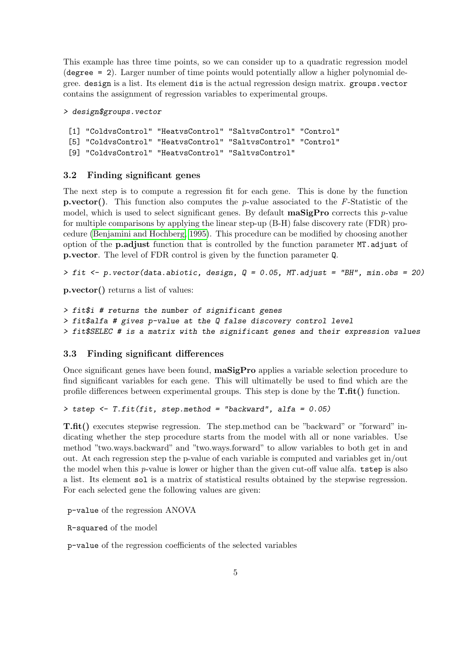This example has three time points, so we can consider up to a quadratic regression model (degree = 2). Larger number of time points would potentially allow a higher polynomial degree. design is a list. Its element dis is the actual regression design matrix. groups.vector contains the assignment of regression variables to experimental groups.

```
> design$groups.vector
```

```
[1] "ColdvsControl" "HeatvsControl" "SaltvsControl" "Control"
[5] "ColdvsControl" "HeatvsControl" "SaltvsControl" "Control"
[9] "ColdvsControl" "HeatvsControl" "SaltvsControl"
```
### <span id="page-4-0"></span>3.2 Finding significant genes

The next step is to compute a regression fit for each gene. This is done by the function **p.vector().** This function also computes the p-value associated to the F-Statistic of the model, which is used to select significant genes. By default  $\text{maSigPro}$  corrects this p-value for multiple comparisons by applying the linear step-up (B-H) false discovery rate (FDR) procedure [\(Benjamini and Hochberg, 1995\)](#page-13-2). This procedure can be modified by choosing another option of the p.adjust function that is controlled by the function parameter MT.adjust of p.vector. The level of FDR control is given by the function parameter Q.

 $> fit < -p$ .vector(data.abiotic, design,  $Q = 0.05$ , MT. adjust = "BH", min.obs = 20)

p.vector() returns a list of values:

> fit\$i # returns the number of significant genes > fit\$alfa # gives p-value at the Q false discovery control level > fit\$SELEC # is a matrix with the significant genes and their expression values

### <span id="page-4-1"></span>3.3 Finding significant differences

Once significant genes have been found, maSigPro applies a variable selection procedure to find significant variables for each gene. This will ultimatelly be used to find which are the profile differences between experimental groups. This step is done by the  $\textbf{T}.\textbf{fit}()$  function.

> tstep <- T.fit(fit, step.method = "backward", alfa = 0.05)

T.fit() executes stepwise regression. The step.method can be "backward" or "forward" indicating whether the step procedure starts from the model with all or none variables. Use method "two.ways.backward" and "two.ways.forward" to allow variables to both get in and out. At each regression step the p-value of each variable is computed and variables get in/out the model when this p-value is lower or higher than the given cut-off value alfa. tstep is also a list. Its element sol is a matrix of statistical results obtained by the stepwise regression. For each selected gene the following values are given:

p-value of the regression ANOVA

R-squared of the model

p-value of the regression coefficients of the selected variables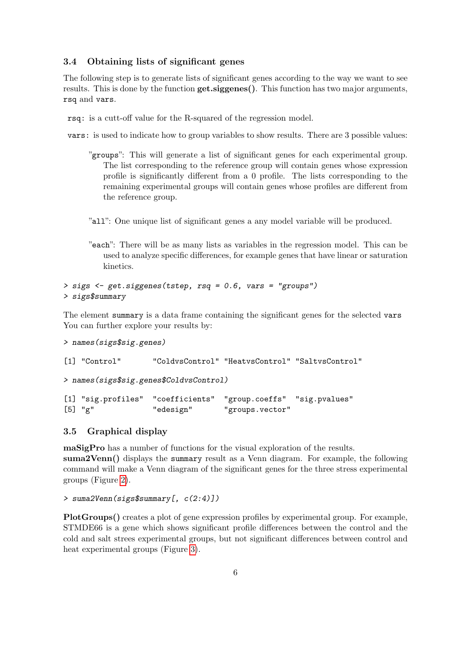#### <span id="page-5-0"></span>3.4 Obtaining lists of significant genes

The following step is to generate lists of significant genes according to the way we want to see results. This is done by the function  $get.\text{signes}()$ . This function has two major arguments, rsq and vars.

rsq: is a cutt-off value for the R-squared of the regression model.

vars: is used to indicate how to group variables to show results. There are 3 possible values:

- "groups": This will generate a list of significant genes for each experimental group. The list corresponding to the reference group will contain genes whose expression profile is significantly different from a 0 profile. The lists corresponding to the remaining experimental groups will contain genes whose profiles are different from the reference group.
- "all": One unique list of significant genes a any model variable will be produced.
- "each": There will be as many lists as variables in the regression model. This can be used to analyze specific differences, for example genes that have linear or saturation kinetics.

```
> sigs <- get.siggenes(tstep, rsq = 0.6, vars = "groups")
> sigs$summary
```
The element summary is a data frame containing the significant genes for the selected vars You can further explore your results by:

```
> names(sigs$sig.genes)
[1] "Control" "ColdvsControl" "HeatvsControl" "SaltvsControl"
> names(sigs$sig.genes$ColdvsControl)
[1] "sig.profiles" "coefficients" "group.coeffs" "sig.pvalues"
[5] "g" "edesign" "groups.vector"
```
#### <span id="page-5-1"></span>3.5 Graphical display

maSigPro has a number of functions for the visual exploration of the results. suma2Venn() displays the summary result as a Venn diagram. For example, the following command will make a Venn diagram of the significant genes for the three stress experimental groups (Figure [2\)](#page-6-1).

```
> suma2Venn(sigs$summary[, c(2:4)])
```
PlotGroups() creates a plot of gene expression profiles by experimental group. For example, STMDE66 is a gene which shows significant profile differences between the control and the cold and salt strees experimental groups, but not significant differences between control and heat experimental groups (Figure [3\)](#page-7-2).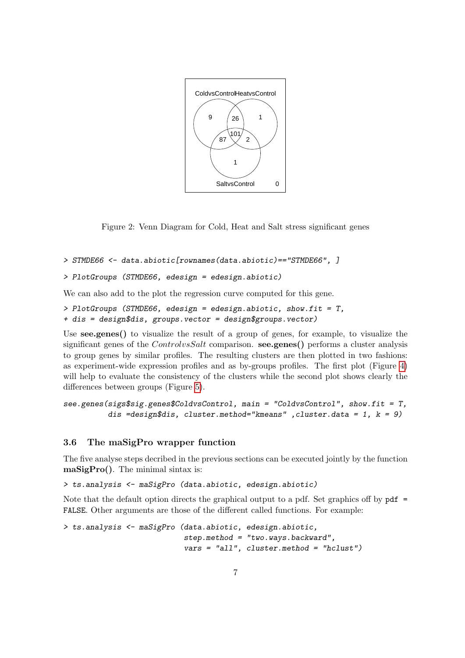

<span id="page-6-1"></span>Figure 2: Venn Diagram for Cold, Heat and Salt stress significant genes

```
> STMDE66 <- data.abiotic[rownames(data.abiotic)=="STMDE66", ]
```

```
> PlotGroups (STMDE66, edesign = edesign.abiotic)
```
We can also add to the plot the regression curve computed for this gene.

```
> PlotGroups (STMDE66, edesign = edesign.abiotic, show.fit = T,
+ dis = design$dis, groups.vector = design$groups.vector)
```
Use see.genes() to visualize the result of a group of genes, for example, to visualize the significant genes of the ControlvsSalt comparison. see.genes() performs a cluster analysis to group genes by similar profiles. The resulting clusters are then plotted in two fashions: as experiment-wide expression profiles and as by-groups profiles. The first plot (Figure [4\)](#page-8-0) will help to evaluate the consistency of the clusters while the second plot shows clearly the differences between groups (Figure [5\)](#page-9-0).

```
see.genes(sigs$sig.genes$ColdvsControl, main = "ColdvsControl", show.fit = T,
          dis =design$dis, cluster.method="kmeans", cluster.data = 1, k = 9)
```
### <span id="page-6-0"></span>3.6 The maSigPro wrapper function

The five analyse steps decribed in the previous sections can be executed jointly by the function maSigPro(). The minimal sintax is:

> ts.analysis <- maSigPro (data.abiotic, edesign.abiotic)

Note that the default option directs the graphical output to a pdf. Set graphics off by pdf = FALSE. Other arguments are those of the different called functions. For example:

```
> ts.analysis <- maSigPro (data.abiotic, edesign.abiotic,
                           step. method = "two.ways. backward".vars = "all", cluster.method = "hclust")
```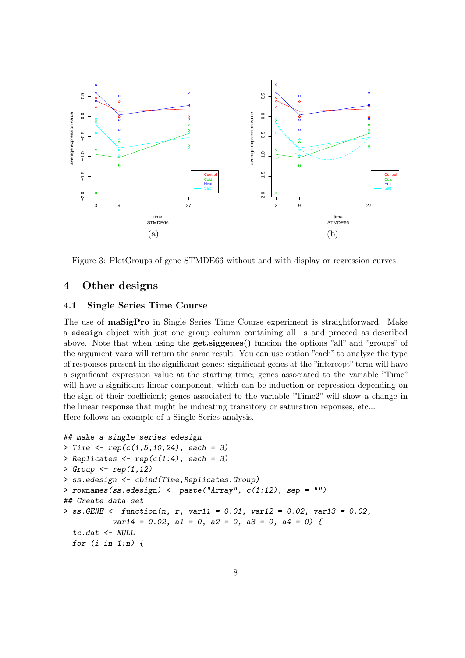

<span id="page-7-2"></span>Figure 3: PlotGroups of gene STMDE66 without and with display or regression curves

### <span id="page-7-0"></span>4 Other designs

### <span id="page-7-1"></span>4.1 Single Series Time Course

The use of maSigPro in Single Series Time Course experiment is straightforward. Make a edesign object with just one group column containing all 1s and proceed as described above. Note that when using the get.siggenes() funcion the options "all" and "groups" of the argument vars will return the same result. You can use option "each" to analyze the type of responses present in the significant genes: significant genes at the "intercept" term will have a significant expression value at the starting time; genes associated to the variable "Time" will have a significant linear component, which can be induction or repression depending on the sign of their coefficient; genes associated to the variable "Time2" will show a change in the linear response that might be indicating transitory or saturation reponses, etc... Here follows an example of a Single Series analysis.

```
## make a single series edesign
> Time \leq rep(c(1,5,10,24), each = 3)
> Replicates \leftarrow \text{rep}(c(1:4), \text{ each } = 3)> Group \leq rep(1,12)
> ss.edesign <- cbind(Time,Replicates,Group)
> rownames(ss.edesign) <- paste("Array", c(1:12), sep = "")
## Create data set
> ss. GENE <- function(n, r, var11 = 0.01, var12 = 0.02, var13 = 0.02,
            var14 = 0.02, a1 = 0, a2 = 0, a3 = 0, a4 = 0) {
  tc.dat <- NULL
  for (i \in i \in 1:n) {
```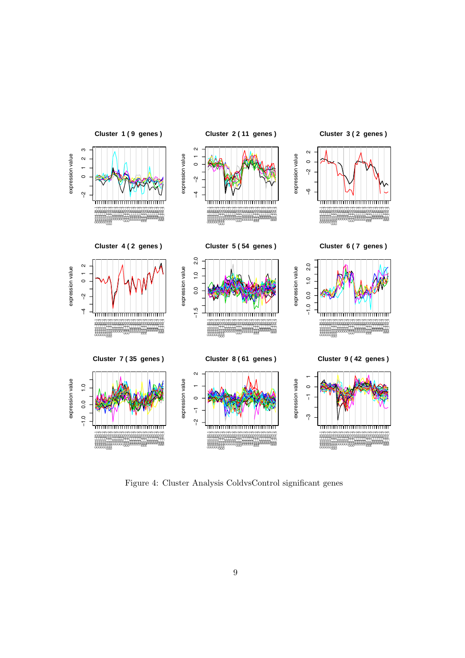

<span id="page-8-0"></span>Figure 4: Cluster Analysis ColdvsControl significant genes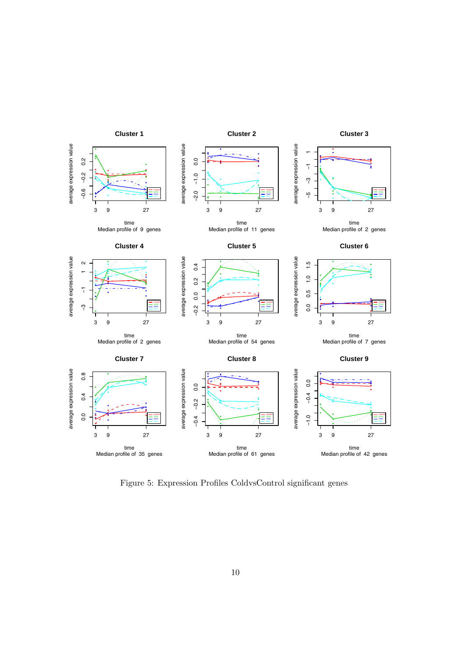

<span id="page-9-0"></span>Figure 5: Expression Profiles ColdvsControl significant genes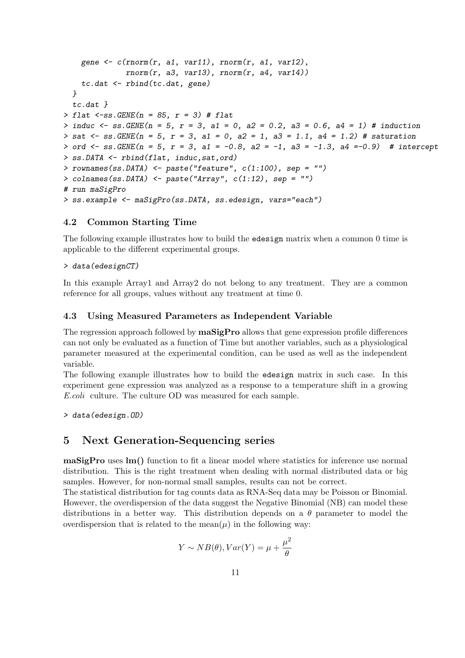```
gene \leq c(rnorm(r, a1, var11), rnorm(r, a1, var12),
              rnorm(r, a3, var13), rnorm(r, a4, var14))tc.dat <- rbind(tc.dat, gene)
 }
  tc.dat }
> flat \leq-ss. GENE(n = 85, r = 3) # flat
> induc <- ss. GENE(n = 5, r = 3, a1 = 0, a2 = 0.2, a3 = 0.6, a4 = 1) # induction
> sat <- ss. GENE(n = 5, r = 3, a1 = 0, a2 = 1, a3 = 1.1, a4 = 1.2) # saturation
> ord \le ss. GENE(n = 5, r = 3, a1 = -0.8, a2 = -1, a3 = -1.3, a4 = -0.9) # intercept
> ss.DATA <- rbind(flat, induc,sat,ord)
> rownames(ss.DATA) \leq paste("feature", c(1:100), sep = "")
> colnames(ss.DATA) <- paste("Array", c(1:12), sep = "")
# run maSigPro
> ss.example <- maSigPro(ss.DATA, ss.edesign, vars="each")
```
#### <span id="page-10-0"></span>4.2 Common Starting Time

The following example illustrates how to build the edesign matrix when a common 0 time is applicable to the different experimental groups.

#### > data(edesignCT)

In this example Array1 and Array2 do not belong to any treatment. They are a common reference for all groups, values without any treatment at time 0.

#### <span id="page-10-1"></span>4.3 Using Measured Parameters as Independent Variable

The regression approach followed by  $\text{maSigPro}$  allows that gene expression profile differences can not only be evaluated as a function of Time but another variables, such as a physiological parameter measured at the experimental condition, can be used as well as the independent variable.

The following example illustrates how to build the edesign matrix in such case. In this experiment gene expression was analyzed as a response to a temperature shift in a growing E.coli culture. The culture OD was measured for each sample.

> data(edesign.OD)

### <span id="page-10-2"></span>5 Next Generation-Sequencing series

maSigPro uses lm() function to fit a linear model where statistics for inference use normal distribution. This is the right treatment when dealing with normal distributed data or big samples. However, for non-normal small samples, results can not be correct.

The statistical distribution for tag counts data as RNA-Seq data may be Poisson or Binomial. However, the overdispersion of the data suggest the Negative Binomial (NB) can model these distributions in a better way. This distribution depends on a  $\theta$  parameter to model the overdispersion that is related to the mean $(\mu)$  in the following way:

$$
Y \sim NB(\theta), Var(Y) = \mu + \frac{\mu^2}{\theta}
$$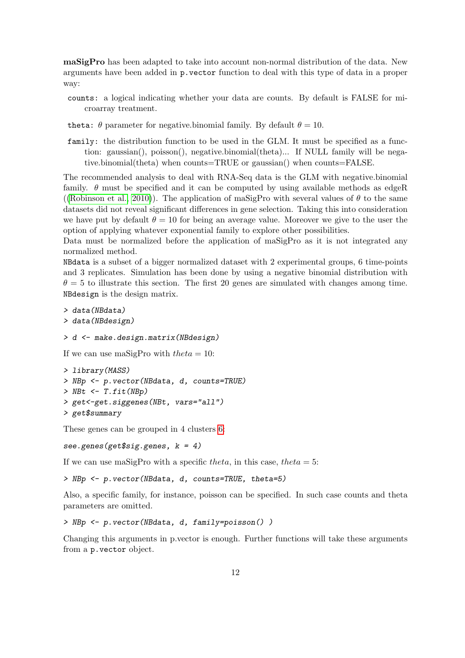maSigPro has been adapted to take into account non-normal distribution of the data. New arguments have been added in p.vector function to deal with this type of data in a proper way:

- counts: a logical indicating whether your data are counts. By default is FALSE for microarray treatment.
- theta:  $\theta$  parameter for negative.binomial family. By default  $\theta = 10$ .
- family: the distribution function to be used in the GLM. It must be specified as a function: gaussian(), poisson(), negative.binomial(theta)... If NULL family will be negative.binomial(theta) when counts=TRUE or gaussian() when counts=FALSE.

The recommended analysis to deal with RNA-Seq data is the GLM with negative.binomial family.  $\theta$  must be specified and it can be computed by using available methods as edgeR ([\(Robinson et al., 2010\)](#page-13-3)). The application of maSigPro with several values of  $\theta$  to the same datasets did not reveal significant differences in gene selection. Taking this into consideration we have put by default  $\theta = 10$  for being an average value. Moreover we give to the user the option of applying whatever exponential family to explore other possibilities.

Data must be normalized before the application of maSigPro as it is not integrated any normalized method.

NBdata is a subset of a bigger normalized dataset with 2 experimental groups, 6 time-points and 3 replicates. Simulation has been done by using a negative binomial distribution with  $\theta = 5$  to illustrate this section. The first 20 genes are simulated with changes among time. NBdesign is the design matrix.

```
> data(NBdata)
> data(NBdesign)
```
> d <- make.design.matrix(NBdesign)

If we can use maSigPro with  $theta = 10$ :

> library(MASS) > NBp <- p.vector(NBdata, d, counts=TRUE)  $> NBt < T.fit(NBp)$ > get<-get.siggenes(NBt, vars="all") > get\$summary

These genes can be grouped in 4 clusters [6:](#page-12-0)

see.genes(get\$sig.genes,  $k = 4$ )

If we can use maSigPro with a specific theta, in this case, theta  $= 5$ :

> NBp <- p.vector(NBdata, d, counts=TRUE, theta=5)

Also, a specific family, for instance, poisson can be specified. In such case counts and theta parameters are omitted.

```
> NBp <- p.vector(NBdata, d, family=poisson() )
```
Changing this arguments in p.vector is enough. Further functions will take these arguments from a p.vector object.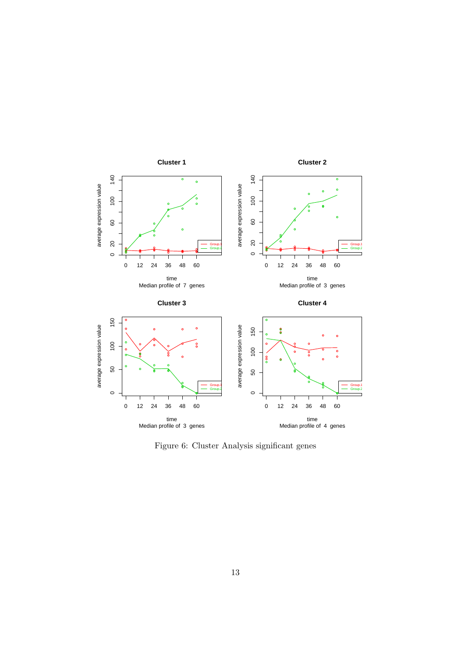

<span id="page-12-0"></span>Figure 6: Cluster Analysis significant genes